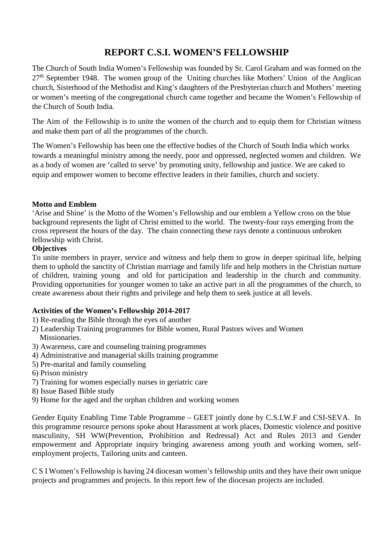## **REPORT C.S.I. WOMEN'S FELLOWSHIP**

The Church of South India Women's Fellowship was founded by Sr. Carol Graham and was formed on the  $27<sup>th</sup>$  September 1948. The women group of the Uniting churches like Mothers' Union of the Anglican church, Sisterhood of the Methodist and King's daughters of the Presbyterian church and Mothers' meeting or women's meeting of the congregational church came together and became the Women's Fellowship of the Church of South India.

The Aim of the Fellowship is to unite the women of the church and to equip them for Christian witness and make them part of all the programmes of the church.

The Women's Fellowship has been one the effective bodies of the Church of South India which works towards a meaningful ministry among the needy, poor and oppressed, neglected women and children. We as a body of women are 'called to serve' by promoting unity, fellowship and justice. We are caked to equip and empower women to become effective leaders in their families, church and society.

## **Motto and Emblem**

'Arise and Shine' is the Motto of the Women's Fellowship and our emblem a Yellow cross on the blue background represents the light of Christ emitted to the world. The twenty-four rays emerging from the cross represent the hours of the day. The chain connecting these rays denote a continuous unbroken fellowship with Christ.

## **Objectives**

To unite members in prayer, service and witness and help them to grow in deeper spiritual life, helping them to uphold the sanctity of Christian marriage and family life and help mothers in the Christian nurture of children, training young and old for participation and leadership in the church and community. Providing opportunities for younger women to take an active part in all the programmes of the church, to create awareness about their rights and privilege and help them to seek justice at all levels.

## **Activities of the Women's Fellowship 2014-2017**

- 1) Re-reading the Bible through the eyes of another
- 2) Leadership Training programmes for Bible women, Rural Pastors wives and Women Missionaries.
- 3) Awareness, care and counseling training programmes
- 4) Administrative and managerial skills training programme
- 5) Pre-marital and family counseling
- 6) Prison ministry
- 7) Training for women especially nurses in geriatric care
- 8) Issue Based Bible study
- 9) Home for the aged and the orphan children and working women

Gender Equity Enabling Time Table Programme – GEET jointly done by C.S.I.W.F and CSI-SEVA. In this programme resource persons spoke about Harassment at work places, Domestic violence and positive masculinity, SH WW(Prevention, Prohibition and Redressal) Act and Rules 2013 and Gender empowerment and Appropriate inquiry bringing awareness among youth and working women, selfemployment projects, Tailoring units and canteen.

C S I Women's Fellowship is having 24 diocesan women's fellowship units and they have their own unique projects and programmes and projects. In this report few of the diocesan projects are included.